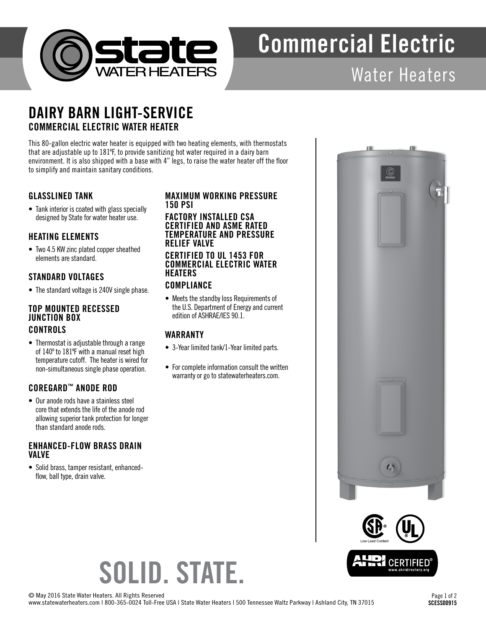

# Commercial Electric

## Water Heaters

### DAIRY BARN LIGHT-SERVICE COMMERCIAL ELECTRIC WATER HEATER

This 80-gallon electric water heater is equipped with two heating elements, with thermostats that are adjustable up to 181ºF, to provide sanitizing hot water required in a dairy barn environment. It is also shipped with a base with 4" legs, to raise the water heater off the floor to simplify and maintain sanitary conditions.

#### GLASSLINED TANK

• Tank interior is coated with glass specially designed by State for water heater use.

#### HEATING ELEMENTS

• Two 4.5 KW zinc plated copper sheathed elements are standard.

#### STANDARD VOLTAGES

• The standard voltage is 240V single phase.

#### TOP MOUNTED RECESSED JUNCTION BOX CONTROLS

• Thermostat is adjustable through a range of 140º to 181ºF with a manual reset high temperature cutoff. The heater is wired for non-simultaneous single phase operation.

#### COREGARD™ ANODE ROD

• Our anode rods have a stainless steel core that extends the life of the anode rod allowing superior tank protection for longer than standard anode rods.

#### ENHANCED-FLOW BRASS DRAIN VALVE

• Solid brass, tamper resistant, enhancedflow, ball type, drain valve.

#### MAXIMUM WORKING PRESSURE 150 PSI

FACTORY INSTALLED CSA CERTIFIED AND ASME RATED TEMPERATURE AND PRESSURE RELIEF VALVE

#### CERTIFIED TO UL 1453 FOR COMMERCIAL ELECTRIC WATER **HEATERS**

#### **COMPLIANCE**

• Meets the standby loss Requirements of the U.S. Department of Energy and current edition of ASHRAE/IES 90.1.

#### WARRANTY

- 3-Year limited tank/1-Year limited parts.
- For complete information consult the written warranty or go to statewaterheaters.com.





# SOLID. STATE.